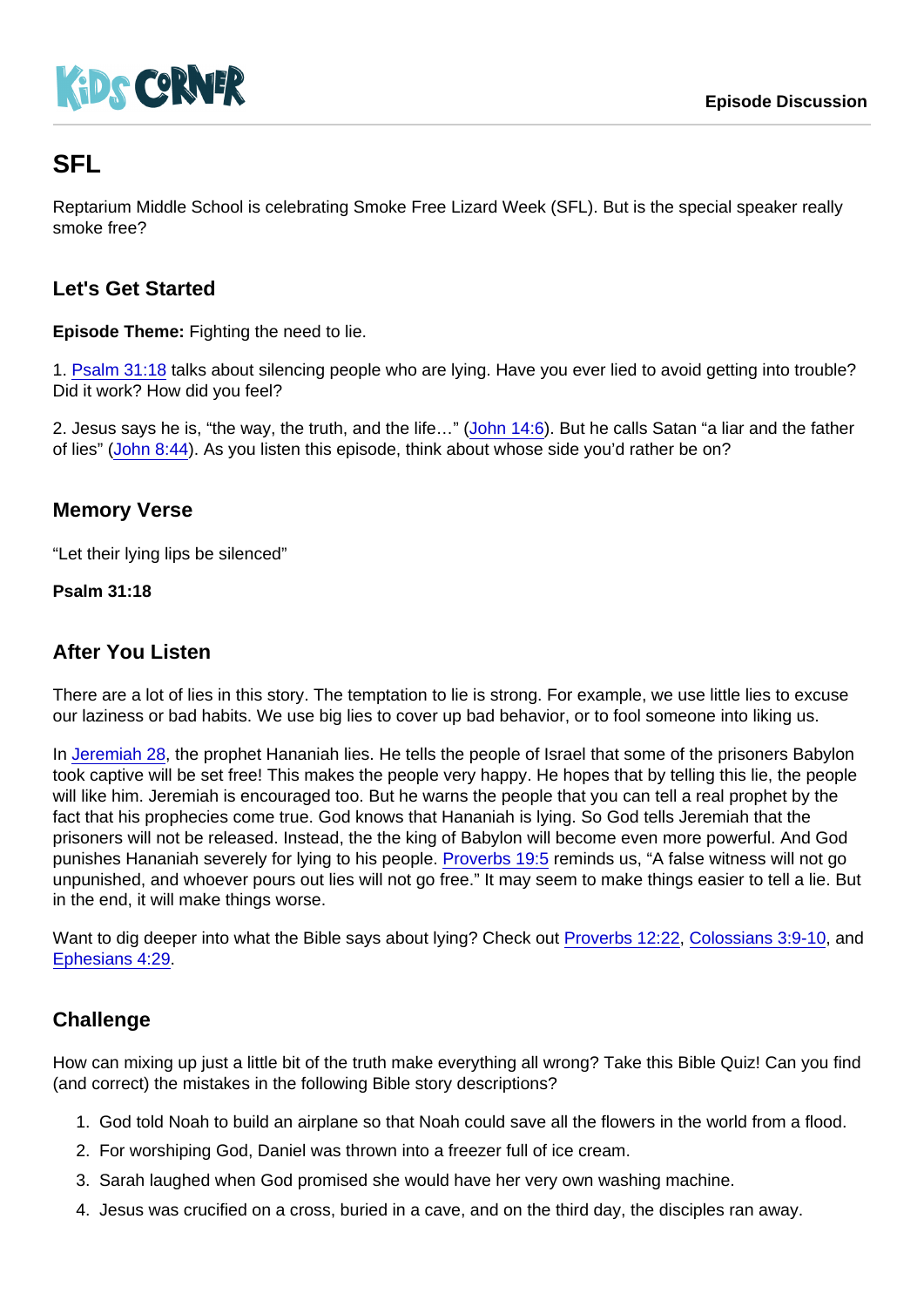# **SFL**

Reptarium Middle School is celebrating Smoke Free Lizard Week (SFL). But is the special speaker really smoke free?

## Let's Get Started

Episode Theme: Fighting the need to lie.

1. [Psalm 31:18](https://www.biblegateway.com/passage/?search=Psalm+31:18) talks about silencing people who are lying. Have you ever lied to avoid getting into trouble? Did it work? How did you feel?

2. Jesus says he is, "the way, the truth, and the life…" [\(John 14:6\)](https://www.biblegateway.com/passage/?search=John+14:6). But he calls Satan "a liar and the father of lies" [\(John 8:44](https://www.biblegateway.com/passage/?search=John+8:44)). As you listen this episode, think about whose side you'd rather be on?

## Memory Verse

"Let their lying lips be silenced"

Psalm 31:18

#### After You Listen

There are a lot of lies in this story. The temptation to lie is strong. For example, we use little lies to excuse our laziness or bad habits. We use big lies to cover up bad behavior, or to fool someone into liking us.

In [Jeremiah 28,](https://www.biblegateway.com/passage/?search=Jeremiah+28) the prophet Hananiah lies. He tells the people of Israel that some of the prisoners Babylon took captive will be set free! This makes the people very happy. He hopes that by telling this lie, the people will like him. Jeremiah is encouraged too. But he warns the people that you can tell a real prophet by the fact that his prophecies come true. God knows that Hananiah is lying. So God tells Jeremiah that the prisoners will not be released. Instead, the the king of Babylon will become even more powerful. And God punishes Hananiah severely for lying to his people. [Proverbs 19:5](https://www.biblegateway.com/passage/?search=Proverbs+19:5) reminds us, "A false witness will not go unpunished, and whoever pours out lies will not go free." It may seem to make things easier to tell a lie. But in the end, it will make things worse.

Want to dig deeper into what the Bible says about lying? Check out [Proverbs 12:22](https://www.biblegateway.com/passage/?search=Proverbs+12:22), [Colossians 3:9-10](https://www.biblegateway.com/passage/?search=Colossians+3:9-10), and [Ephesians 4:29.](https://www.biblegateway.com/passage/?search=Ephesians+4:29)

## **Challenge**

How can mixing up just a little bit of the truth make everything all wrong? Take this Bible Quiz! Can you find (and correct) the mistakes in the following Bible story descriptions?

- 1. God told Noah to build an airplane so that Noah could save all the flowers in the world from a flood.
- 2. For worshiping God, Daniel was thrown into a freezer full of ice cream.
- 3. Sarah laughed when God promised she would have her very own washing machine.
- 4. Jesus was crucified on a cross, buried in a cave, and on the third day, the disciples ran away.